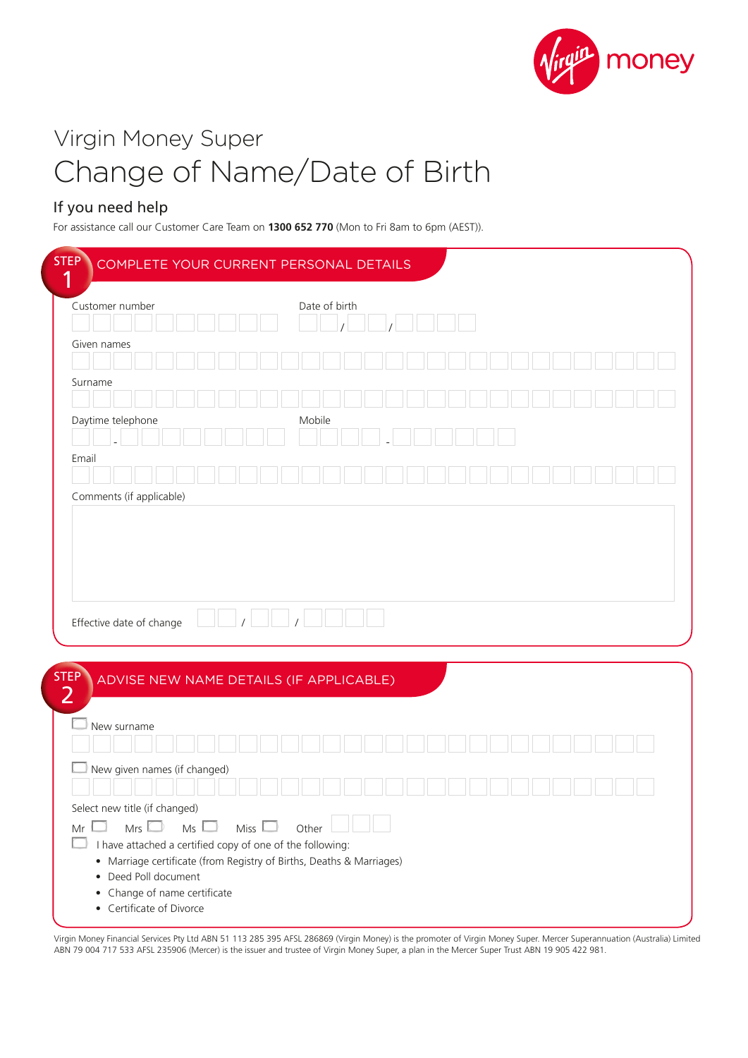

# Virgin Money Super Change of Name/Date of Birth

## If you need help

For assistance call our Customer Care Team on **1300 652 770** (Mon to Fri 8am to 6pm (AEST)).

| Customer number                                     |                                         |             | Date of birth |  |  |  |  |  |  |  |
|-----------------------------------------------------|-----------------------------------------|-------------|---------------|--|--|--|--|--|--|--|
|                                                     |                                         |             |               |  |  |  |  |  |  |  |
| Given names                                         |                                         |             |               |  |  |  |  |  |  |  |
| Surname                                             |                                         |             |               |  |  |  |  |  |  |  |
|                                                     |                                         |             |               |  |  |  |  |  |  |  |
| Daytime telephone                                   |                                         |             | Mobile        |  |  |  |  |  |  |  |
| Email                                               |                                         |             |               |  |  |  |  |  |  |  |
|                                                     |                                         |             |               |  |  |  |  |  |  |  |
| Comments (if applicable)                            |                                         |             |               |  |  |  |  |  |  |  |
| Effective date of change                            |                                         |             |               |  |  |  |  |  |  |  |
|                                                     |                                         |             |               |  |  |  |  |  |  |  |
| <b>STEP</b>                                         | ADVISE NEW NAME DETAILS (IF APPLICABLE) |             |               |  |  |  |  |  |  |  |
| $\overline{2}$                                      |                                         |             |               |  |  |  |  |  |  |  |
| New surname                                         |                                         |             |               |  |  |  |  |  |  |  |
|                                                     |                                         |             |               |  |  |  |  |  |  |  |
| New given names (if changed)                        |                                         |             |               |  |  |  |  |  |  |  |
|                                                     |                                         |             |               |  |  |  |  |  |  |  |
| Select new title (if changed)<br>Mr<br>$Mrs$ $\Box$ | $Ms \Box$                               | Miss $\Box$ | Other         |  |  |  |  |  |  |  |

Virgin Money Financial Services Pty Ltd ABN 51 113 285 395 AFSL 286869 (Virgin Money) is the promoter of Virgin Money Super. Mercer Superannuation (Australia) Limited ABN 79 004 717 533 AFSL 235906 (Mercer) is the issuer and trustee of Virgin Money Super, a plan in the Mercer Super Trust ABN 19 905 422 981.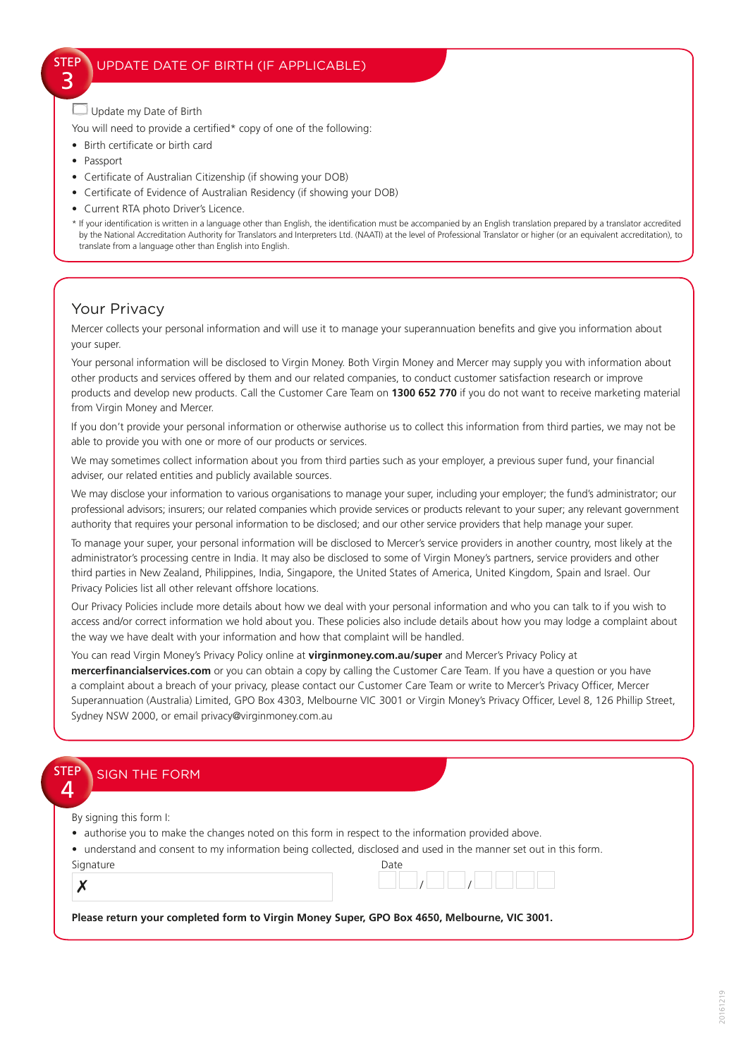Update my Date of Birth

You will need to provide a certified\* copy of one of the following:

- Birth certificate or birth card
- Passport

STEP 3

- Certificate of Australian Citizenship (if showing your DOB)
- Certificate of Evidence of Australian Residency (if showing your DOB)
- Current RTA photo Driver's Licence.

\* If your identification is written in a language other than English, the identification must be accompanied by an English translation prepared by a translator accredited by the National Accreditation Authority for Translators and Interpreters Ltd. (NAATI) at the level of Professional Translator or higher (or an equivalent accreditation), to translate from a language other than English into English.

### Your Privacy

Mercer collects your personal information and will use it to manage your superannuation benefits and give you information about your super.

Your personal information will be disclosed to Virgin Money. Both Virgin Money and Mercer may supply you with information about other products and services offered by them and our related companies, to conduct customer satisfaction research or improve products and develop new products. Call the Customer Care Team on **1300 652 770** if you do not want to receive marketing material from Virgin Money and Mercer.

If you don't provide your personal information or otherwise authorise us to collect this information from third parties, we may not be able to provide you with one or more of our products or services.

We may sometimes collect information about you from third parties such as your employer, a previous super fund, your financial adviser, our related entities and publicly available sources.

We may disclose your information to various organisations to manage your super, including your employer; the fund's administrator; our professional advisors; insurers; our related companies which provide services or products relevant to your super; any relevant government authority that requires your personal information to be disclosed; and our other service providers that help manage your super.

To manage your super, your personal information will be disclosed to Mercer's service providers in another country, most likely at the administrator's processing centre in India. It may also be disclosed to some of Virgin Money's partners, service providers and other third parties in New Zealand, Philippines, India, Singapore, the United States of America, United Kingdom, Spain and Israel. Our Privacy Policies list all other relevant offshore locations.

Our Privacy Policies include more details about how we deal with your personal information and who you can talk to if you wish to access and/or correct information we hold about you. These policies also include details about how you may lodge a complaint about the way we have dealt with your information and how that complaint will be handled.

You can read Virgin Money's Privacy Policy online at **virginmoney.com.au/super** and Mercer's Privacy Policy at **mercerfinancialservices.com** or you can obtain a copy by calling the Customer Care Team. If you have a question or you have a complaint about a breach of your privacy, please contact our Customer Care Team or write to Mercer's Privacy Officer, Mercer Superannuation (Australia) Limited, GPO Box 4303, Melbourne VIC 3001 or Virgin Money's Privacy Officer, Level 8, 126 Phillip Street, Sydney NSW 2000, or email privacy@virginmoney.com.au

| <b>SIGN THE FORM</b>    |                                                                                                                    |
|-------------------------|--------------------------------------------------------------------------------------------------------------------|
|                         |                                                                                                                    |
| By signing this form I: |                                                                                                                    |
|                         | authorise you to make the changes noted on this form in respect to the information provided above.                 |
|                         | • understand and consent to my information being collected, disclosed and used in the manner set out in this form. |
|                         |                                                                                                                    |
| Signature               | Date                                                                                                               |
|                         |                                                                                                                    |

**Please return your completed form to Virgin Money Super, GPO Box 4650, Melbourne, VIC 3001.**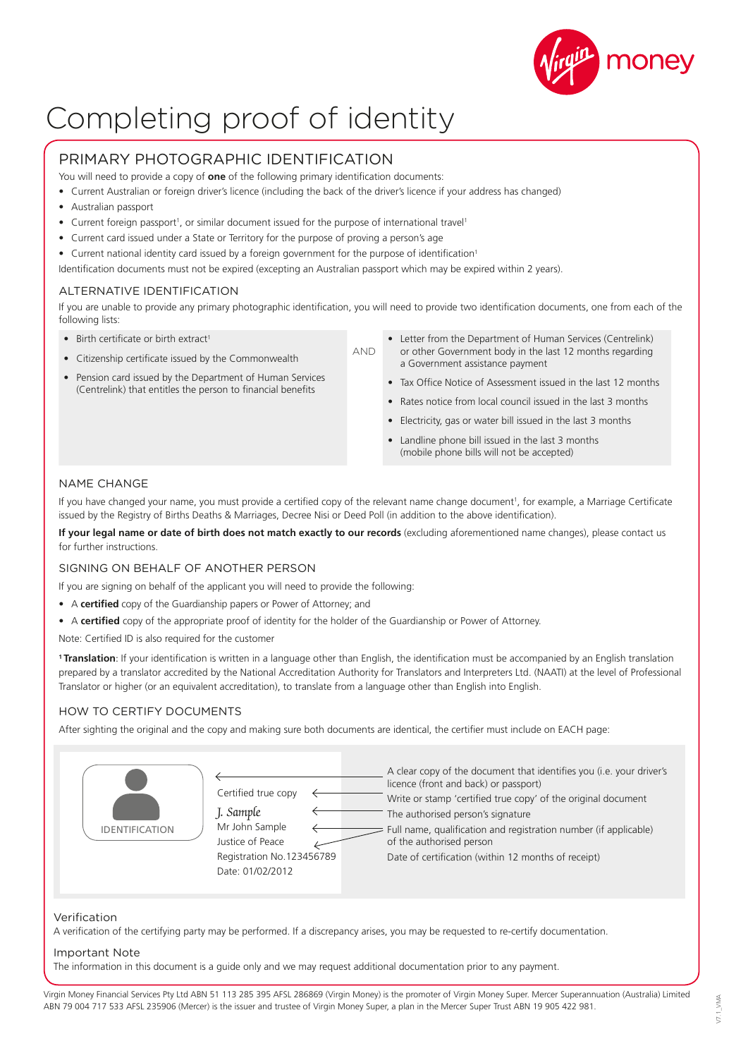

# Completing proof of identity

### PRIMARY PHOTOGRAPHIC IDENTIFICATION

You will need to provide a copy of **one** of the following primary identification documents:

- Current Australian or foreign driver's licence (including the back of the driver's licence if your address has changed)
- Australian passport
- Current foreign passport<sup>1</sup>, or similar document issued for the purpose of international travel<sup>1</sup>
- Current card issued under a State or Territory for the purpose of proving a person's age
- Current national identity card issued by a foreign government for the purpose of identification<sup>1</sup>

Identification documents must not be expired (excepting an Australian passport which may be expired within 2 years).

#### ALTERNATIVE IDENTIFICATION

If you are unable to provide any primary photographic identification, you will need to provide two identification documents, one from each of the following lists:

AND

- Birth certificate or birth extract<sup>1</sup>
- Citizenship certificate issued by the Commonwealth
- Pension card issued by the Department of Human Services (Centrelink) that entitles the person to financial benefits
- Letter from the Department of Human Services (Centrelink) or other Government body in the last 12 months regarding a Government assistance payment
- Tax Office Notice of Assessment issued in the last 12 months
- Rates notice from local council issued in the last 3 months
- Electricity, gas or water bill issued in the last 3 months
- Landline phone bill issued in the last 3 months (mobile phone bills will not be accepted)

#### NAME CHANGE

If you have changed your name, you must provide a certified copy of the relevant name change document<sup>1</sup>, for example, a Marriage Certificate issued by the Registry of Births Deaths & Marriages, Decree Nisi or Deed Poll (in addition to the above identification).

**If your legal name or date of birth does not match exactly to our records** (excluding aforementioned name changes), please contact us for further instructions.

#### SIGNING ON BEHALF OF ANOTHER PERSON

If you are signing on behalf of the applicant you will need to provide the following:

- A **certified** copy of the Guardianship papers or Power of Attorney; and
- A **certified** copy of the appropriate proof of identity for the holder of the Guardianship or Power of Attorney.

Note: Certified ID is also required for the customer

1 Translation: If your identification is written in a language other than English, the identification must be accompanied by an English translation prepared by a translator accredited by the National Accreditation Authority for Translators and Interpreters Ltd. (NAATI) at the level of Professional Translator or higher (or an equivalent accreditation), to translate from a language other than English into English.

#### HOW TO CERTIFY DOCUMENTS

After sighting the original and the copy and making sure both documents are identical, the certifier must include on EACH page:

| Certified true copy       | A clear copy of the document that identifies you (i.e. your driver's |
|---------------------------|----------------------------------------------------------------------|
| J. Sample                 | licence (front and back) or passport)                                |
| Mr John Sample            | Write or stamp 'certified true copy' of the original document        |
| <b>IDENTIFICATION</b>     | The authorised person's signature                                    |
| Justice of Peace          | Full name, qualification and registration number (if applicable)     |
| Registration No.123456789 | of the authorised person                                             |
| Date: 01/02/2012          | Date of certification (within 12 months of receipt)                  |

#### Verification

A verification of the certifying party may be performed. If a discrepancy arises, you may be requested to re-certify documentation.

#### Important Note

The information in this document is a guide only and we may request additional documentation prior to any payment.

Virgin Money Financial Services Pty Ltd ABN 51 113 285 395 AFSL 286869 (Virgin Money) is the promoter of Virgin Money Super. Mercer Superannuation (Australia) Limited ABN 79 004 717 533 AFSL 235906 (Mercer) is the issuer and trustee of Virgin Money Super, a plan in the Mercer Super Trust ABN 19 905 422 981.